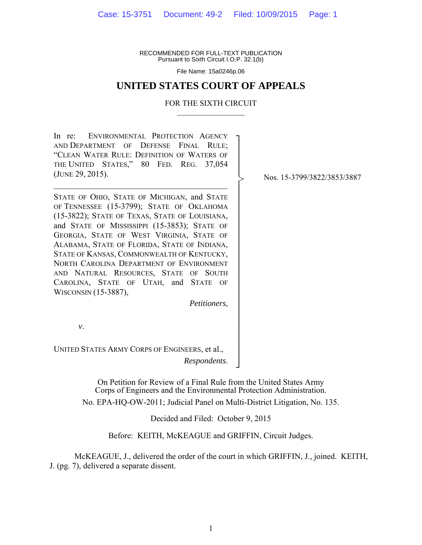RECOMMENDED FOR FULL-TEXT PUBLICATION Pursuant to Sixth Circuit I.O.P. 32.1(b)

File Name: 15a0246p.06

## **UNITED STATES COURT OF APPEALS**

## FOR THE SIXTH CIRCUIT  $\mathcal{L}_\text{max}$

┐ │ │ │ │ │ │ │ │ │ │ │ │ │ │ │ │ │ │ │ │ │ │ │ │

>

In re: ENVIRONMENTAL PROTECTION AGENCY AND DEPARTMENT OF DEFENSE FINAL RULE; "CLEAN WATER RULE: DEFINITION OF WATERS OF THE UNITED STATES," 80 FED. REG. 37,054 (JUNE 29, 2015).

 $\mathcal{L}_\mathcal{L} = \mathcal{L}_\mathcal{L} = \mathcal{L}_\mathcal{L} = \mathcal{L}_\mathcal{L} = \mathcal{L}_\mathcal{L} = \mathcal{L}_\mathcal{L} = \mathcal{L}_\mathcal{L} = \mathcal{L}_\mathcal{L} = \mathcal{L}_\mathcal{L} = \mathcal{L}_\mathcal{L} = \mathcal{L}_\mathcal{L} = \mathcal{L}_\mathcal{L} = \mathcal{L}_\mathcal{L} = \mathcal{L}_\mathcal{L} = \mathcal{L}_\mathcal{L} = \mathcal{L}_\mathcal{L} = \mathcal{L}_\mathcal{L}$ 

STATE OF OHIO, STATE OF MICHIGAN, and STATE OF TENNESSEE (15-3799); STATE OF OKLAHOMA (15-3822); STATE OF TEXAS, STATE OF LOUISIANA, and STATE OF MISSISSIPPI (15-3853); STATE OF GEORGIA, STATE OF WEST VIRGINIA, STATE OF ALABAMA, STATE OF FLORIDA, STATE OF INDIANA, STATE OF KANSAS, COMMONWEALTH OF KENTUCKY, NORTH CAROLINA DEPARTMENT OF ENVIRONMENT AND NATURAL RESOURCES, STATE OF SOUTH CAROLINA, STATE OF UTAH, and STATE OF WISCONSIN (15-3887),

*Petitioners*,

*v*.

UNITED STATES ARMY CORPS OF ENGINEERS, et al., *Respondents*.

┘

On Petition for Review of a Final Rule from the United States Army Corps of Engineers and the Environmental Protection Administration.

No. EPA-HQ-OW-2011; Judicial Panel on Multi-District Litigation, No. 135.

Decided and Filed: October 9, 2015

Before: KEITH, McKEAGUE and GRIFFIN, Circuit Judges.

 McKEAGUE, J., delivered the order of the court in which GRIFFIN, J., joined. KEITH, J. (pg. 7), delivered a separate dissent.

Nos. 15-3799/3822/3853/3887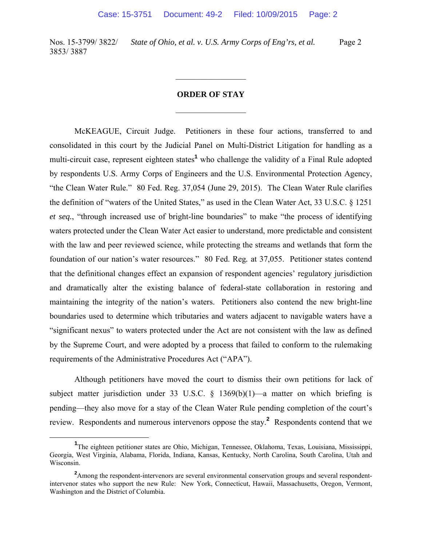## **ORDER OF STAY**

 $\frac{1}{2}$ 

 $\frac{1}{2}$ 

 McKEAGUE, Circuit Judge. Petitioners in these four actions, transferred to and consolidated in this court by the Judicial Panel on Multi-District Litigation for handling as a multi-circuit case, represent eighteen states<sup>1</sup> who challenge the validity of a Final Rule adopted by respondents U.S. Army Corps of Engineers and the U.S. Environmental Protection Agency, "the Clean Water Rule." 80 Fed. Reg. 37,054 (June 29, 2015). The Clean Water Rule clarifies the definition of "waters of the United States," as used in the Clean Water Act, 33 U.S.C. § 1251 *et seq.*, "through increased use of bright-line boundaries" to make "the process of identifying waters protected under the Clean Water Act easier to understand, more predictable and consistent with the law and peer reviewed science, while protecting the streams and wetlands that form the foundation of our nation's water resources." 80 Fed. Reg*.* at 37,055. Petitioner states contend that the definitional changes effect an expansion of respondent agencies' regulatory jurisdiction and dramatically alter the existing balance of federal-state collaboration in restoring and maintaining the integrity of the nation's waters. Petitioners also contend the new bright-line boundaries used to determine which tributaries and waters adjacent to navigable waters have a "significant nexus" to waters protected under the Act are not consistent with the law as defined by the Supreme Court, and were adopted by a process that failed to conform to the rulemaking requirements of the Administrative Procedures Act ("APA").

 Although petitioners have moved the court to dismiss their own petitions for lack of subject matter jurisdiction under 33 U.S.C.  $\S$  1369(b)(1)—a matter on which briefing is pending—they also move for a stay of the Clean Water Rule pending completion of the court's review. Respondents and numerous intervenors oppose the stay.**<sup>2</sup>** Respondents contend that we

 $\frac{1}{1}$ <sup>1</sup>The eighteen petitioner states are Ohio, Michigan, Tennessee, Oklahoma, Texas, Louisiana, Mississippi, Georgia, West Virginia, Alabama, Florida, Indiana, Kansas, Kentucky, North Carolina, South Carolina, Utah and Wisconsin.

<sup>&</sup>lt;sup>2</sup> Among the respondent-intervenors are several environmental conservation groups and several respondentintervenor states who support the new Rule: New York, Connecticut, Hawaii, Massachusetts, Oregon, Vermont, Washington and the District of Columbia.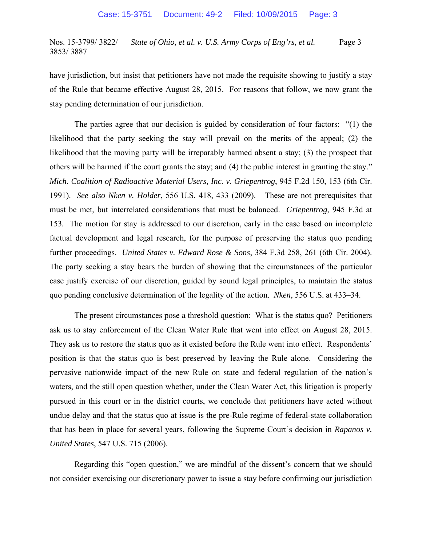have jurisdiction, but insist that petitioners have not made the requisite showing to justify a stay of the Rule that became effective August 28, 2015. For reasons that follow, we now grant the stay pending determination of our jurisdiction.

 The parties agree that our decision is guided by consideration of four factors: "(1) the likelihood that the party seeking the stay will prevail on the merits of the appeal; (2) the likelihood that the moving party will be irreparably harmed absent a stay; (3) the prospect that others will be harmed if the court grants the stay; and (4) the public interest in granting the stay." *Mich. Coalition of Radioactive Material Users, Inc. v. Griepentrog*, 945 F.2d 150, 153 (6th Cir. 1991). *See also Nken v. Holder*, 556 U.S. 418, 433 (2009). These are not prerequisites that must be met, but interrelated considerations that must be balanced. *Griepentrog*, 945 F.3d at 153*.* The motion for stay is addressed to our discretion, early in the case based on incomplete factual development and legal research, for the purpose of preserving the status quo pending further proceedings. *United States v. Edward Rose & Sons*, 384 F.3d 258, 261 (6th Cir. 2004). The party seeking a stay bears the burden of showing that the circumstances of the particular case justify exercise of our discretion, guided by sound legal principles, to maintain the status quo pending conclusive determination of the legality of the action. *Nken*, 556 U.S. at 433–34.

 The present circumstances pose a threshold question: What is the status quo? Petitioners ask us to stay enforcement of the Clean Water Rule that went into effect on August 28, 2015. They ask us to restore the status quo as it existed before the Rule went into effect. Respondents' position is that the status quo is best preserved by leaving the Rule alone. Considering the pervasive nationwide impact of the new Rule on state and federal regulation of the nation's waters, and the still open question whether, under the Clean Water Act, this litigation is properly pursued in this court or in the district courts, we conclude that petitioners have acted without undue delay and that the status quo at issue is the pre-Rule regime of federal-state collaboration that has been in place for several years, following the Supreme Court's decision in *Rapanos v. United States*, 547 U.S. 715 (2006).

 Regarding this "open question," we are mindful of the dissent's concern that we should not consider exercising our discretionary power to issue a stay before confirming our jurisdiction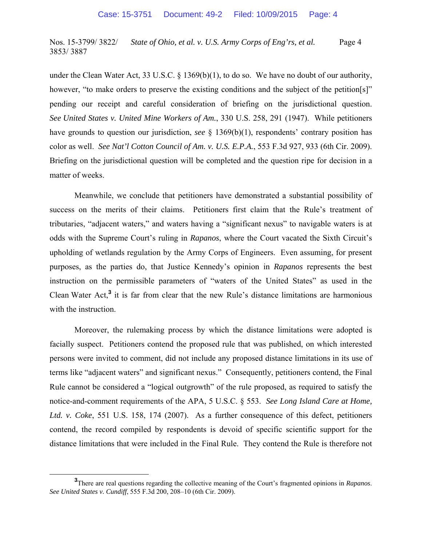under the Clean Water Act, 33 U.S.C. § 1369(b)(1), to do so. We have no doubt of our authority, however, "to make orders to preserve the existing conditions and the subject of the petition[s]" pending our receipt and careful consideration of briefing on the jurisdictional question. *See United States v. United Mine Workers of Am.*, 330 U.S. 258, 291 (1947). While petitioners have grounds to question our jurisdiction, *see* § 1369(b)(1), respondents' contrary position has color as well. *See Nat'l Cotton Council of Am. v. U.S. E.P.A.*, 553 F.3d 927, 933 (6th Cir. 2009). Briefing on the jurisdictional question will be completed and the question ripe for decision in a matter of weeks.

 Meanwhile, we conclude that petitioners have demonstrated a substantial possibility of success on the merits of their claims. Petitioners first claim that the Rule's treatment of tributaries, "adjacent waters," and waters having a "significant nexus" to navigable waters is at odds with the Supreme Court's ruling in *Rapanos*, where the Court vacated the Sixth Circuit's upholding of wetlands regulation by the Army Corps of Engineers. Even assuming, for present purposes, as the parties do, that Justice Kennedy's opinion in *Rapanos* represents the best instruction on the permissible parameters of "waters of the United States" as used in the Clean Water Act,**<sup>3</sup>** it is far from clear that the new Rule's distance limitations are harmonious with the instruction.

 Moreover, the rulemaking process by which the distance limitations were adopted is facially suspect. Petitioners contend the proposed rule that was published, on which interested persons were invited to comment, did not include any proposed distance limitations in its use of terms like "adjacent waters" and significant nexus." Consequently, petitioners contend, the Final Rule cannot be considered a "logical outgrowth" of the rule proposed, as required to satisfy the notice-and-comment requirements of the APA, 5 U.S.C. § 553. *See Long Island Care at Home, Ltd. v. Coke*, 551 U.S. 158, 174 (2007). As a further consequence of this defect, petitioners contend, the record compiled by respondents is devoid of specific scientific support for the distance limitations that were included in the Final Rule. They contend the Rule is therefore not

**<sup>3</sup>** There are real questions regarding the collective meaning of the Court's fragmented opinions in *Rapanos*. *See United States v. Cundiff*, 555 F.3d 200, 208–10 (6th Cir. 2009).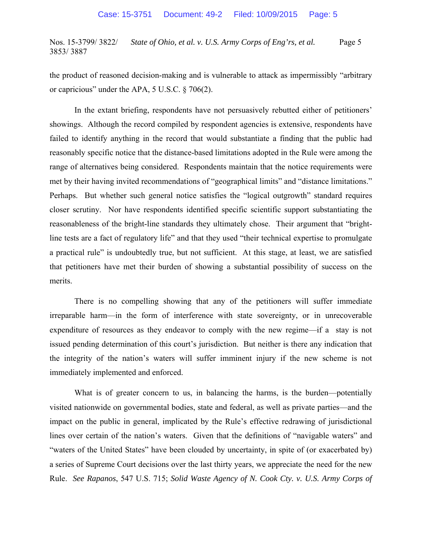the product of reasoned decision-making and is vulnerable to attack as impermissibly "arbitrary or capricious" under the APA, 5 U.S.C. § 706(2).

 In the extant briefing, respondents have not persuasively rebutted either of petitioners' showings. Although the record compiled by respondent agencies is extensive, respondents have failed to identify anything in the record that would substantiate a finding that the public had reasonably specific notice that the distance-based limitations adopted in the Rule were among the range of alternatives being considered. Respondents maintain that the notice requirements were met by their having invited recommendations of "geographical limits" and "distance limitations." Perhaps. But whether such general notice satisfies the "logical outgrowth" standard requires closer scrutiny. Nor have respondents identified specific scientific support substantiating the reasonableness of the bright-line standards they ultimately chose. Their argument that "brightline tests are a fact of regulatory life" and that they used "their technical expertise to promulgate a practical rule" is undoubtedly true, but not sufficient. At this stage, at least, we are satisfied that petitioners have met their burden of showing a substantial possibility of success on the merits.

 There is no compelling showing that any of the petitioners will suffer immediate irreparable harm—in the form of interference with state sovereignty, or in unrecoverable expenditure of resources as they endeavor to comply with the new regime—if a stay is not issued pending determination of this court's jurisdiction. But neither is there any indication that the integrity of the nation's waters will suffer imminent injury if the new scheme is not immediately implemented and enforced.

What is of greater concern to us, in balancing the harms, is the burden—potentially visited nationwide on governmental bodies, state and federal, as well as private parties—and the impact on the public in general, implicated by the Rule's effective redrawing of jurisdictional lines over certain of the nation's waters. Given that the definitions of "navigable waters" and "waters of the United States" have been clouded by uncertainty, in spite of (or exacerbated by) a series of Supreme Court decisions over the last thirty years, we appreciate the need for the new Rule. *See Rapanos*, 547 U.S. 715; *Solid Waste Agency of N. Cook Cty. v. U.S. Army Corps of*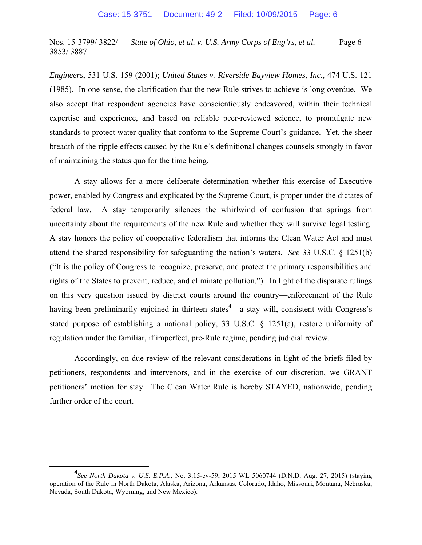*Engineers*, 531 U.S. 159 (2001); *United States v. Riverside Bayview Homes, Inc*., 474 U.S. 121 (1985).In one sense, the clarification that the new Rule strives to achieve is long overdue. We also accept that respondent agencies have conscientiously endeavored, within their technical expertise and experience, and based on reliable peer-reviewed science, to promulgate new standards to protect water quality that conform to the Supreme Court's guidance. Yet, the sheer breadth of the ripple effects caused by the Rule's definitional changes counsels strongly in favor of maintaining the status quo for the time being.

 A stay allows for a more deliberate determination whether this exercise of Executive power, enabled by Congress and explicated by the Supreme Court, is proper under the dictates of federal law. A stay temporarily silences the whirlwind of confusion that springs from uncertainty about the requirements of the new Rule and whether they will survive legal testing. A stay honors the policy of cooperative federalism that informs the Clean Water Act and must attend the shared responsibility for safeguarding the nation's waters. *See* 33 U.S.C. § 1251(b) ("It is the policy of Congress to recognize, preserve, and protect the primary responsibilities and rights of the States to prevent, reduce, and eliminate pollution."). In light of the disparate rulings on this very question issued by district courts around the country—enforcement of the Rule having been preliminarily enjoined in thirteen states**<sup>4</sup>** —a stay will, consistent with Congress's stated purpose of establishing a national policy, 33 U.S.C. § 1251(a), restore uniformity of regulation under the familiar, if imperfect, pre-Rule regime, pending judicial review.

 Accordingly, on due review of the relevant considerations in light of the briefs filed by petitioners, respondents and intervenors, and in the exercise of our discretion, we GRANT petitioners' motion for stay. The Clean Water Rule is hereby STAYED, nationwide, pending further order of the court.

**<sup>4</sup>** *See North Dakota v. U.S. E.P.A.*, No. 3:15-cv-59, 2015 WL 5060744 (D.N.D. Aug. 27, 2015) (staying operation of the Rule in North Dakota, Alaska, Arizona, Arkansas, Colorado, Idaho, Missouri, Montana, Nebraska, Nevada, South Dakota, Wyoming, and New Mexico).